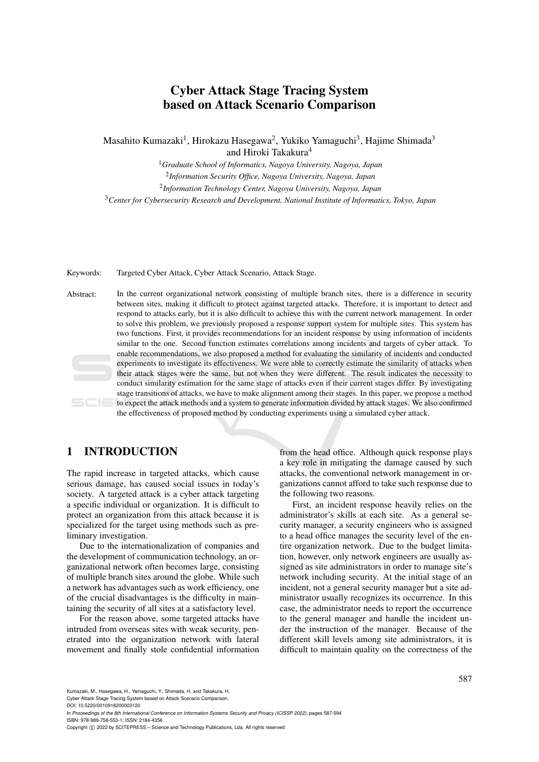# Cyber Attack Stage Tracing System based on Attack Scenario Comparison

Masahito Kumazaki<sup>1</sup>, Hirokazu Hasegawa<sup>2</sup>, Yukiko Yamaguchi<sup>3</sup>, Hajime Shimada<sup>3</sup> and Hiroki Takakura<sup>4</sup>

<sup>1</sup>*Graduate School of Informatics, Nagoya University, Nagoya, Japan*

2 *Information Security Office, Nagoya University, Nagoya, Japan*

2 *Information Technology Center, Nagoya University, Nagoya, Japan*

<sup>3</sup>*Center for Cybersecurity Research and Development, National Institute of Informatics, Tokyo, Japan*

Keywords: Targeted Cyber Attack, Cyber Attack Scenario, Attack Stage.

Abstract: In the current organizational network consisting of multiple branch sites, there is a difference in security between sites, making it difficult to protect against targeted attacks. Therefore, it is important to detect and respond to attacks early, but it is also difficult to achieve this with the current network management. In order to solve this problem, we previously proposed a response support system for multiple sites. This system has two functions. First, it provides recommendations for an incident response by using information of incidents similar to the one. Second function estimates correlations among incidents and targets of cyber attack. To enable recommendations, we also proposed a method for evaluating the similarity of incidents and conducted experiments to investigate its effectiveness. We were able to correctly estimate the similarity of attacks when their attack stages were the same, but not when they were different. The result indicates the necessity to conduct similarity estimation for the same stage of attacks even if their current stages differ. By investigating stage transitions of attacks, we have to make alignment among their stages. In this paper, we propose a method to expect the attack methods and a system to generate information divided by attack stages. We also confirmed the effectiveness of proposed method by conducting experiments using a simulated cyber attack.

## 1 INTRODUCTION

The rapid increase in targeted attacks, which cause serious damage, has caused social issues in today's society. A targeted attack is a cyber attack targeting a specific individual or organization. It is difficult to protect an organization from this attack because it is specialized for the target using methods such as preliminary investigation.

Due to the internationalization of companies and the development of communication technology, an organizational network often becomes large, consisting of multiple branch sites around the globe. While such a network has advantages such as work efficiency, one of the crucial disadvantages is the difficulty in maintaining the security of all sites at a satisfactory level.

For the reason above, some targeted attacks have intruded from overseas sites with weak security, penetrated into the organization network with lateral movement and finally stole confidential information from the head office. Although quick response plays a key role in mitigating the damage caused by such attacks, the conventional network management in organizations cannot afford to take such response due to the following two reasons.

First, an incident response heavily relies on the administrator's skills at each site. As a general security manager, a security engineers who is assigned to a head office manages the security level of the entire organization network. Due to the budget limitation, however, only network engineers are usually assigned as site administrators in order to manage site's network including security. At the initial stage of an incident, not a general security manager but a site administrator usually recognizes its occurrence. In this case, the administrator needs to report the occurrence to the general manager and handle the incident under the instruction of the manager. Because of the different skill levels among site administrators, it is difficult to maintain quality on the correctness of the

Kumazaki, M., Hasegawa, H., Yamaguchi, Y., Shimada, H. and Takakura, H. Cyber Attack Stage Tracing System based on Attack Scenario Comparison.

DOI: 10.5220/0010918200003120

In *Proceedings of the 8th International Conference on Information Systems Security and Privacy (ICISSP 2022)*, pages 587-594 ISBN: 978-989-758-553-1; ISSN: 2184-4356

Copyright © 2022 by SCITEPRESS - Science and Technology Publications, Lda. All rights reserved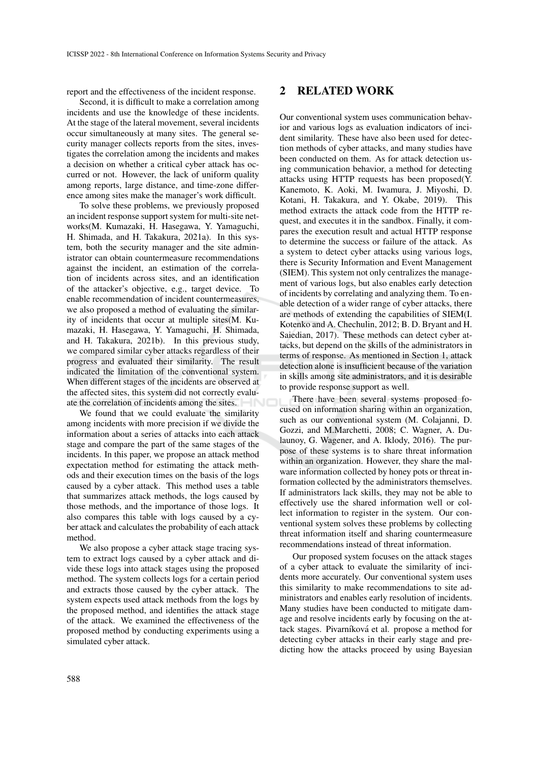report and the effectiveness of the incident response.

Second, it is difficult to make a correlation among incidents and use the knowledge of these incidents. At the stage of the lateral movement, several incidents occur simultaneously at many sites. The general security manager collects reports from the sites, investigates the correlation among the incidents and makes a decision on whether a critical cyber attack has occurred or not. However, the lack of uniform quality among reports, large distance, and time-zone difference among sites make the manager's work difficult.

To solve these problems, we previously proposed an incident response support system for multi-site networks(M. Kumazaki, H. Hasegawa, Y. Yamaguchi, H. Shimada, and H. Takakura, 2021a). In this system, both the security manager and the site administrator can obtain countermeasure recommendations against the incident, an estimation of the correlation of incidents across sites, and an identification of the attacker's objective, e.g., target device. To enable recommendation of incident countermeasures, we also proposed a method of evaluating the similarity of incidents that occur at multiple sites(M. Kumazaki, H. Hasegawa, Y. Yamaguchi, H. Shimada, and H. Takakura, 2021b). In this previous study, we compared similar cyber attacks regardless of their progress and evaluated their similarity. The result indicated the limitation of the conventional system. When different stages of the incidents are observed at the affected sites, this system did not correctly evaluate the correlation of incidents among the sites.

We found that we could evaluate the similarity among incidents with more precision if we divide the information about a series of attacks into each attack stage and compare the part of the same stages of the incidents. In this paper, we propose an attack method expectation method for estimating the attack methods and their execution times on the basis of the logs caused by a cyber attack. This method uses a table that summarizes attack methods, the logs caused by those methods, and the importance of those logs. It also compares this table with logs caused by a cyber attack and calculates the probability of each attack method.

We also propose a cyber attack stage tracing system to extract logs caused by a cyber attack and divide these logs into attack stages using the proposed method. The system collects logs for a certain period and extracts those caused by the cyber attack. The system expects used attack methods from the logs by the proposed method, and identifies the attack stage of the attack. We examined the effectiveness of the proposed method by conducting experiments using a simulated cyber attack.

## 2 RELATED WORK

Our conventional system uses communication behavior and various logs as evaluation indicators of incident similarity. These have also been used for detection methods of cyber attacks, and many studies have been conducted on them. As for attack detection using communication behavior, a method for detecting attacks using HTTP requests has been proposed(Y. Kanemoto, K. Aoki, M. Iwamura, J. Miyoshi, D. Kotani, H. Takakura, and Y. Okabe, 2019). This method extracts the attack code from the HTTP request, and executes it in the sandbox. Finally, it compares the execution result and actual HTTP response to determine the success or failure of the attack. As a system to detect cyber attacks using various logs, there is Security Information and Event Management (SIEM). This system not only centralizes the management of various logs, but also enables early detection of incidents by correlating and analyzing them. To enable detection of a wider range of cyber attacks, there are methods of extending the capabilities of SIEM(I. Kotenko and A. Chechulin, 2012; B. D. Bryant and H. Saiedian, 2017). These methods can detect cyber attacks, but depend on the skills of the administrators in terms of response. As mentioned in Section 1, attack detection alone is insufficient because of the variation in skills among site administrators, and it is desirable to provide response support as well.

There have been several systems proposed focused on information sharing within an organization, such as our conventional system (M. Colajanni, D. Gozzi, and M.Marchetti, 2008; C. Wagner, A. Dulaunoy, G. Wagener, and A. Iklody, 2016). The purpose of these systems is to share threat information within an organization. However, they share the malware information collected by honey pots or threat information collected by the administrators themselves. If administrators lack skills, they may not be able to effectively use the shared information well or collect information to register in the system. Our conventional system solves these problems by collecting threat information itself and sharing countermeasure recommendations instead of threat information.

Our proposed system focuses on the attack stages of a cyber attack to evaluate the similarity of incidents more accurately. Our conventional system uses this similarity to make recommendations to site administrators and enables early resolution of incidents. Many studies have been conducted to mitigate damage and resolve incidents early by focusing on the attack stages. Pivarníková et al. propose a method for detecting cyber attacks in their early stage and predicting how the attacks proceed by using Bayesian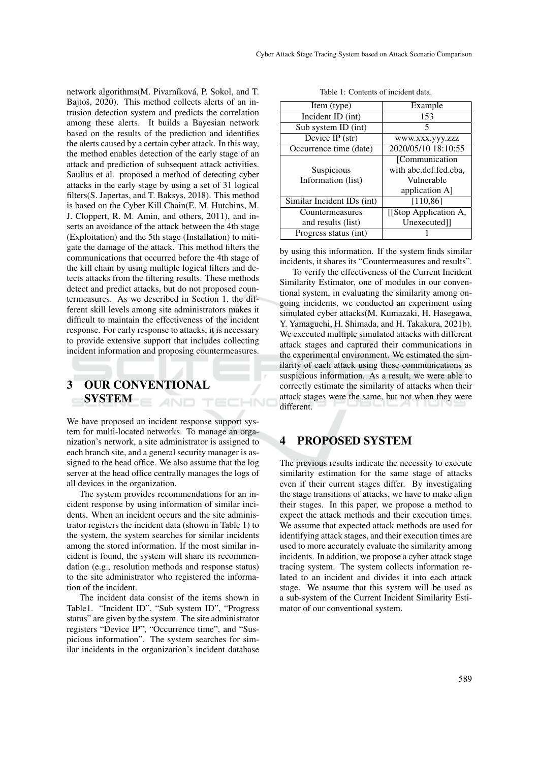network algorithms(M. Pivarníková, P. Sokol, and T. Bajtoš, 2020). This method collects alerts of an intrusion detection system and predicts the correlation among these alerts. It builds a Bayesian network based on the results of the prediction and identifies the alerts caused by a certain cyber attack. In this way, the method enables detection of the early stage of an attack and prediction of subsequent attack activities. Saulius et al. proposed a method of detecting cyber attacks in the early stage by using a set of 31 logical filters(S. Japertas, and T. Baksys, 2018). This method is based on the Cyber Kill Chain(E. M. Hutchins, M. J. Cloppert, R. M. Amin, and others, 2011), and inserts an avoidance of the attack between the 4th stage (Exploitation) and the 5th stage (Installation) to mitigate the damage of the attack. This method filters the communications that occurred before the 4th stage of the kill chain by using multiple logical filters and detects attacks from the filtering results. These methods detect and predict attacks, but do not proposed countermeasures. As we described in Section 1, the different skill levels among site administrators makes it difficult to maintain the effectiveness of the incident response. For early response to attacks, it is necessary to provide extensive support that includes collecting incident information and proposing countermeasures.

# 3 OUR CONVENTIONAL SYSTEM AND TECHN

We have proposed an incident response support system for multi-located networks. To manage an organization's network, a site administrator is assigned to each branch site, and a general security manager is assigned to the head office. We also assume that the log server at the head office centrally manages the logs of all devices in the organization.

The system provides recommendations for an incident response by using information of similar incidents. When an incident occurs and the site administrator registers the incident data (shown in Table 1) to the system, the system searches for similar incidents among the stored information. If the most similar incident is found, the system will share its recommendation (e.g., resolution methods and response status) to the site administrator who registered the information of the incident.

The incident data consist of the items shown in Table1. "Incident ID", "Sub system ID", "Progress status" are given by the system. The site administrator registers "Device IP", "Occurrence time", and "Suspicious information". The system searches for similar incidents in the organization's incident database

| Item (type)                | Example               |
|----------------------------|-----------------------|
| Incident ID (int)          | 153                   |
| Sub system ID (int)        |                       |
| Device IP (str)            | WWW.XXX.YYY.ZZZ       |
| Occurrence time (date)     | 2020/05/10 18:10:55   |
|                            | [Communication]       |
| Suspicious                 | with abc.def.fed.cba. |
| Information (list)         | Vulnerable            |
|                            | application A]        |
| Similar Incident IDs (int) | [110, 86]             |
| Countermeasures            | [[Stop Application A, |
| and results (list)         | Unexecuted]]          |
| Progress status (int)      |                       |

| Table 1: Contents of incident data. |  |
|-------------------------------------|--|
|-------------------------------------|--|

by using this information. If the system finds similar incidents, it shares its "Countermeasures and results".

To verify the effectiveness of the Current Incident Similarity Estimator, one of modules in our conventional system, in evaluating the similarity among ongoing incidents, we conducted an experiment using simulated cyber attacks(M. Kumazaki, H. Hasegawa, Y. Yamaguchi, H. Shimada, and H. Takakura, 2021b). We executed multiple simulated attacks with different attack stages and captured their communications in the experimental environment. We estimated the similarity of each attack using these communications as suspicious information. As a result, we were able to correctly estimate the similarity of attacks when their attack stages were the same, but not when they were different.

## 4 PROPOSED SYSTEM

The previous results indicate the necessity to execute similarity estimation for the same stage of attacks even if their current stages differ. By investigating the stage transitions of attacks, we have to make align their stages. In this paper, we propose a method to expect the attack methods and their execution times. We assume that expected attack methods are used for identifying attack stages, and their execution times are used to more accurately evaluate the similarity among incidents. In addition, we propose a cyber attack stage tracing system. The system collects information related to an incident and divides it into each attack stage. We assume that this system will be used as a sub-system of the Current Incident Similarity Estimator of our conventional system.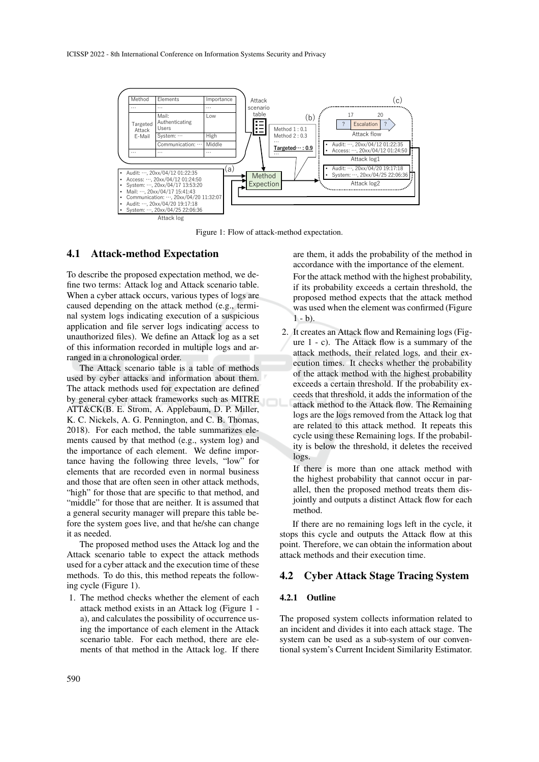

Figure 1: Flow of attack-method expectation.

#### 4.1 Attack-method Expectation

To describe the proposed expectation method, we define two terms: Attack log and Attack scenario table. When a cyber attack occurs, various types of logs are caused depending on the attack method (e.g., terminal system logs indicating execution of a suspicious application and file server logs indicating access to unauthorized files). We define an Attack log as a set of this information recorded in multiple logs and arranged in a chronological order.

The Attack scenario table is a table of methods used by cyber attacks and information about them. The attack methods used for expectation are defined by general cyber attack frameworks such as MITRE ATT&CK(B. E. Strom, A. Applebaum, D. P. Miller, K. C. Nickels, A. G. Pennington, and C. B. Thomas, 2018). For each method, the table summarizes elements caused by that method (e.g., system log) and the importance of each element. We define importance having the following three levels, "low" for elements that are recorded even in normal business and those that are often seen in other attack methods, "high" for those that are specific to that method, and "middle" for those that are neither. It is assumed that a general security manager will prepare this table before the system goes live, and that he/she can change it as needed.

The proposed method uses the Attack log and the Attack scenario table to expect the attack methods used for a cyber attack and the execution time of these methods. To do this, this method repeats the following cycle (Figure 1).

1. The method checks whether the element of each attack method exists in an Attack log (Figure 1 a), and calculates the possibility of occurrence using the importance of each element in the Attack scenario table. For each method, there are elements of that method in the Attack log. If there are them, it adds the probability of the method in accordance with the importance of the element.

For the attack method with the highest probability, if its probability exceeds a certain threshold, the proposed method expects that the attack method was used when the element was confirmed (Figure  $1 - b$ ).

2. It creates an Attack flow and Remaining logs (Figure 1 - c). The Attack flow is a summary of the attack methods, their related logs, and their execution times. It checks whether the probability of the attack method with the highest probability exceeds a certain threshold. If the probability exceeds that threshold, it adds the information of the attack method to the Attack flow. The Remaining logs are the logs removed from the Attack log that are related to this attack method. It repeats this cycle using these Remaining logs. If the probability is below the threshold, it deletes the received logs.

If there is more than one attack method with the highest probability that cannot occur in parallel, then the proposed method treats them disjointly and outputs a distinct Attack flow for each method.

If there are no remaining logs left in the cycle, it stops this cycle and outputs the Attack flow at this point. Therefore, we can obtain the information about attack methods and their execution time.

#### 4.2 Cyber Attack Stage Tracing System

#### 4.2.1 Outline

The proposed system collects information related to an incident and divides it into each attack stage. The system can be used as a sub-system of our conventional system's Current Incident Similarity Estimator.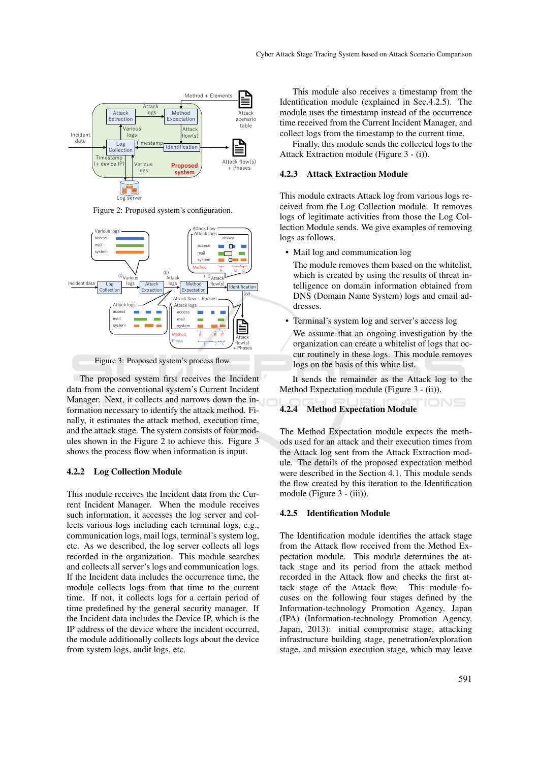

Figure 2: Proposed system's configuration.



Figure 3: Proposed system's process flow.

The proposed system first receives the Incident data from the conventional system's Current Incident Manager. Next, it collects and narrows down the information necessary to identify the attack method. Finally, it estimates the attack method, execution time, and the attack stage. The system consists of four modules shown in the Figure 2 to achieve this. Figure 3 shows the process flow when information is input.

#### 4.2.2 Log Collection Module

This module receives the Incident data from the Current Incident Manager. When the module receives such information, it accesses the log server and collects various logs including each terminal logs, e.g., communication logs, mail logs, terminal's system log, etc. As we described, the log server collects all logs recorded in the organization. This module searches and collects all server's logs and communication logs. If the Incident data includes the occurrence time, the module collects logs from that time to the current time. If not, it collects logs for a certain period of time predefined by the general security manager. If the Incident data includes the Device IP, which is the IP address of the device where the incident occurred, the module additionally collects logs about the device from system logs, audit logs, etc.

This module also receives a timestamp from the Identification module (explained in Sec.4.2.5). The module uses the timestamp instead of the occurrence time received from the Current Incident Manager, and collect logs from the timestamp to the current time.

Finally, this module sends the collected logs to the Attack Extraction module (Figure 3 - (i)).

#### 4.2.3 Attack Extraction Module

This module extracts Attack log from various logs received from the Log Collection module. It removes logs of legitimate activities from those the Log Collection Module sends. We give examples of removing logs as follows.

• Mail log and communication log

The module removes them based on the whitelist, which is created by using the results of threat intelligence on domain information obtained from DNS (Domain Name System) logs and email addresses.

- Terminal's system log and server's access log
- We assume that an ongoing investigation by the organization can create a whitelist of logs that occur routinely in these logs. This module removes logs on the basis of this white list.

It sends the remainder as the Attack log to the Method Expectation module (Figure 3 - (ii)).

#### 4.2.4 Method Expectation Module

The Method Expectation module expects the methods used for an attack and their execution times from the Attack log sent from the Attack Extraction module. The details of the proposed expectation method were described in the Section 4.1. This module sends the flow created by this iteration to the Identification module (Figure 3 - (iii)).

#### 4.2.5 Identification Module

The Identification module identifies the attack stage from the Attack flow received from the Method Expectation module. This module determines the attack stage and its period from the attack method recorded in the Attack flow and checks the first attack stage of the Attack flow. This module focuses on the following four stages defined by the Information-technology Promotion Agency, Japan (IPA) (Information-technology Promotion Agency, Japan, 2013): initial compromise stage, attacking infrastructure building stage, penetration/exploration stage, and mission execution stage, which may leave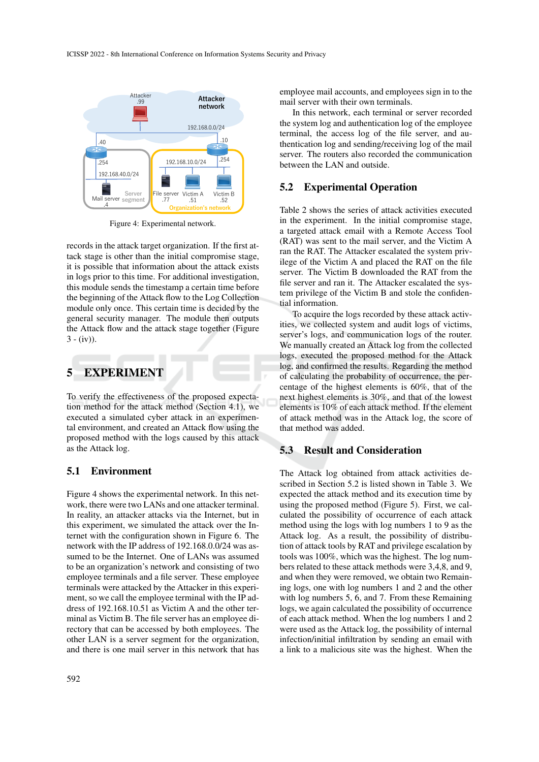

Figure 4: Experimental network.

records in the attack target organization. If the first attack stage is other than the initial compromise stage, it is possible that information about the attack exists in logs prior to this time. For additional investigation, this module sends the timestamp a certain time before the beginning of the Attack flow to the Log Collection module only once. This certain time is decided by the general security manager. The module then outputs the Attack flow and the attack stage together (Figure  $3 - (iv)$ ).

## 5 EXPERIMENT

To verify the effectiveness of the proposed expectation method for the attack method (Section 4.1), we executed a simulated cyber attack in an experimental environment, and created an Attack flow using the proposed method with the logs caused by this attack as the Attack log.

### 5.1 Environment

Figure 4 shows the experimental network. In this network, there were two LANs and one attacker terminal. In reality, an attacker attacks via the Internet, but in this experiment, we simulated the attack over the Internet with the configuration shown in Figure 6. The network with the IP address of 192.168.0.0/24 was assumed to be the Internet. One of LANs was assumed to be an organization's network and consisting of two employee terminals and a file server. These employee terminals were attacked by the Attacker in this experiment, so we call the employee terminal with the IP address of 192.168.10.51 as Victim A and the other terminal as Victim B. The file server has an employee directory that can be accessed by both employees. The other LAN is a server segment for the organization, and there is one mail server in this network that has employee mail accounts, and employees sign in to the mail server with their own terminals.

In this network, each terminal or server recorded the system log and authentication log of the employee terminal, the access log of the file server, and authentication log and sending/receiving log of the mail server. The routers also recorded the communication between the LAN and outside.

#### 5.2 Experimental Operation

Table 2 shows the series of attack activities executed in the experiment. In the initial compromise stage, a targeted attack email with a Remote Access Tool (RAT) was sent to the mail server, and the Victim A ran the RAT. The Attacker escalated the system privilege of the Victim A and placed the RAT on the file server. The Victim B downloaded the RAT from the file server and ran it. The Attacker escalated the system privilege of the Victim B and stole the confidential information.

To acquire the logs recorded by these attack activities, we collected system and audit logs of victims, server's logs, and communication logs of the router. We manually created an Attack log from the collected logs, executed the proposed method for the Attack log, and confirmed the results. Regarding the method of calculating the probability of occurrence, the percentage of the highest elements is 60%, that of the next highest elements is 30%, and that of the lowest elements is 10% of each attack method. If the element of attack method was in the Attack log, the score of that method was added.

## 5.3 Result and Consideration

The Attack log obtained from attack activities described in Section 5.2 is listed shown in Table 3. We expected the attack method and its execution time by using the proposed method (Figure 5). First, we calculated the possibility of occurrence of each attack method using the logs with log numbers 1 to 9 as the Attack log. As a result, the possibility of distribution of attack tools by RAT and privilege escalation by tools was 100%, which was the highest. The log numbers related to these attack methods were 3,4,8, and 9, and when they were removed, we obtain two Remaining logs, one with log numbers 1 and 2 and the other with log numbers 5, 6, and 7. From these Remaining logs, we again calculated the possibility of occurrence of each attack method. When the log numbers 1 and 2 were used as the Attack log, the possibility of internal infection/initial infiltration by sending an email with a link to a malicious site was the highest. When the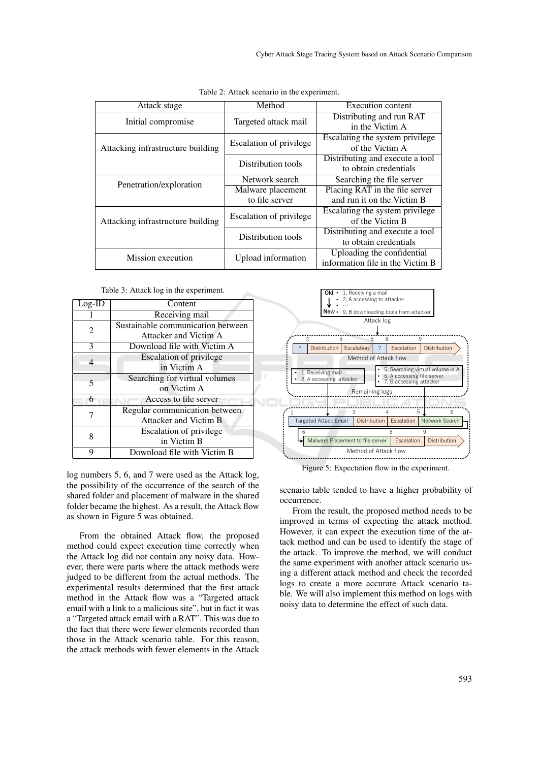| Attack stage                      | Method                  | Execution content                |
|-----------------------------------|-------------------------|----------------------------------|
| Initial compromise                |                         | Distributing and run RAT         |
|                                   | Targeted attack mail    | in the Victim A                  |
| Attacking infrastructure building |                         | Escalating the system privilege  |
|                                   | Escalation of privilege | of the Victim A                  |
|                                   | Distribution tools      | Distributing and execute a tool  |
|                                   |                         | to obtain credentials            |
| Penetration/exploration           | Network search          | Searching the file server        |
|                                   | Malware placement       | Placing RAT in the file server   |
|                                   | to file server          | and run it on the Victim B       |
| Attacking infrastructure building |                         | Escalating the system privilege  |
|                                   | Escalation of privilege | of the Victim B                  |
|                                   |                         | Distributing and execute a tool  |
|                                   | Distribution tools      | to obtain credentials            |
| Mission execution                 |                         | Uploading the confidential       |
|                                   | Upload information      | information file in the Victim B |

Table 2: Attack scenario in the experiment.

Table 3: Attack log in the experiment.

| $Log-ID$ | Content                           |
|----------|-----------------------------------|
|          | Receiving mail                    |
| 2        | Sustainable communication between |
|          | Attacker and Victim A             |
| 3        | Download file with Victim A       |
| 4        | <b>Escalation of privilege</b>    |
|          | in Victim A                       |
| 5        | Searching for virtual volumes     |
|          | on Victim A                       |
| 6        | Access to file server             |
|          | Regular communication between     |
|          | <b>Attacker and Victim B</b>      |
| 8        | Escalation of privilege           |
|          | in Victim B                       |
| q        | Download file with Victim B       |

log numbers 5, 6, and 7 were used as the Attack log, the possibility of the occurrence of the search of the shared folder and placement of malware in the shared folder became the highest. As a result, the Attack flow as shown in Figure 5 was obtained.

From the obtained Attack flow, the proposed method could expect execution time correctly when the Attack log did not contain any noisy data. However, there were parts where the attack methods were judged to be different from the actual methods. The experimental results determined that the first attack method in the Attack flow was a "Targeted attack email with a link to a malicious site", but in fact it was a "Targeted attack email with a RAT". This was due to the fact that there were fewer elements recorded than those in the Attack scenario table. For this reason, the attack methods with fewer elements in the Attack



Figure 5: Expectation flow in the experiment.

scenario table tended to have a higher probability of occurrence.

From the result, the proposed method needs to be improved in terms of expecting the attack method. However, it can expect the execution time of the attack method and can be used to identify the stage of the attack. To improve the method, we will conduct the same experiment with another attack scenario using a different attack method and check the recorded logs to create a more accurate Attack scenario table. We will also implement this method on logs with noisy data to determine the effect of such data.